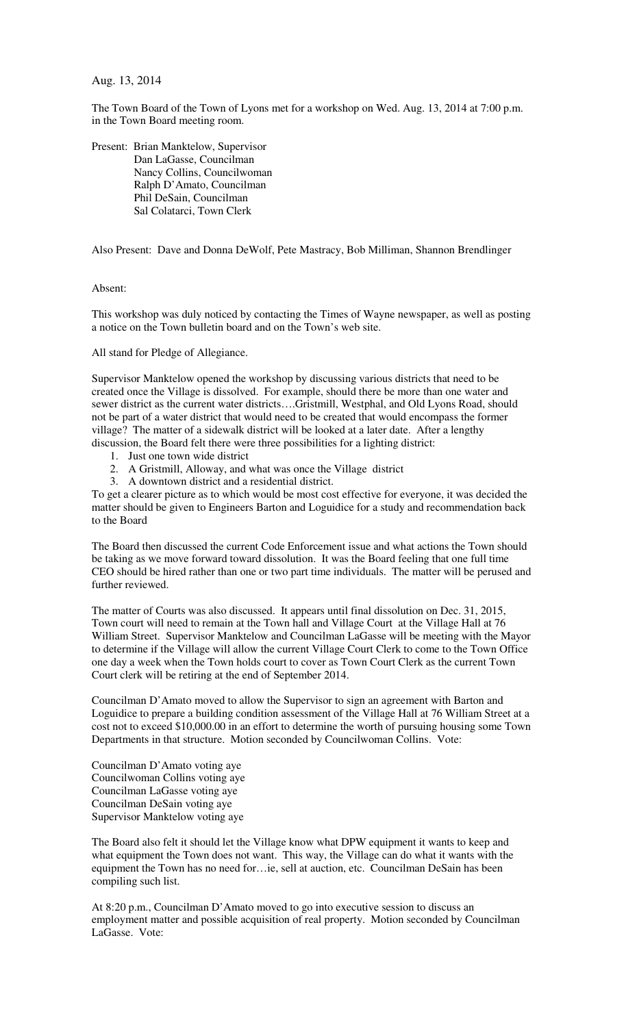Aug. 13, 2014

The Town Board of the Town of Lyons met for a workshop on Wed. Aug. 13, 2014 at 7:00 p.m. in the Town Board meeting room.

Present: Brian Manktelow, Supervisor Dan LaGasse, Councilman Nancy Collins, Councilwoman Ralph D'Amato, Councilman Phil DeSain, Councilman Sal Colatarci, Town Clerk

Also Present: Dave and Donna DeWolf, Pete Mastracy, Bob Milliman, Shannon Brendlinger

## Absent:

This workshop was duly noticed by contacting the Times of Wayne newspaper, as well as posting a notice on the Town bulletin board and on the Town's web site.

All stand for Pledge of Allegiance.

Supervisor Manktelow opened the workshop by discussing various districts that need to be created once the Village is dissolved. For example, should there be more than one water and sewer district as the current water districts….Gristmill, Westphal, and Old Lyons Road, should not be part of a water district that would need to be created that would encompass the former village? The matter of a sidewalk district will be looked at a later date. After a lengthy discussion, the Board felt there were three possibilities for a lighting district:

- 1. Just one town wide district
- 2. A Gristmill, Alloway, and what was once the Village district
- 3. A downtown district and a residential district.

To get a clearer picture as to which would be most cost effective for everyone, it was decided the matter should be given to Engineers Barton and Loguidice for a study and recommendation back to the Board

The Board then discussed the current Code Enforcement issue and what actions the Town should be taking as we move forward toward dissolution. It was the Board feeling that one full time CEO should be hired rather than one or two part time individuals. The matter will be perused and further reviewed.

The matter of Courts was also discussed. It appears until final dissolution on Dec. 31, 2015, Town court will need to remain at the Town hall and Village Court at the Village Hall at 76 William Street. Supervisor Manktelow and Councilman LaGasse will be meeting with the Mayor to determine if the Village will allow the current Village Court Clerk to come to the Town Office one day a week when the Town holds court to cover as Town Court Clerk as the current Town Court clerk will be retiring at the end of September 2014.

Councilman D'Amato moved to allow the Supervisor to sign an agreement with Barton and Loguidice to prepare a building condition assessment of the Village Hall at 76 William Street at a cost not to exceed \$10,000.00 in an effort to determine the worth of pursuing housing some Town Departments in that structure. Motion seconded by Councilwoman Collins. Vote:

Councilman D'Amato voting aye Councilwoman Collins voting aye Councilman LaGasse voting aye Councilman DeSain voting aye Supervisor Manktelow voting aye

The Board also felt it should let the Village know what DPW equipment it wants to keep and what equipment the Town does not want. This way, the Village can do what it wants with the equipment the Town has no need for…ie, sell at auction, etc. Councilman DeSain has been compiling such list.

At 8:20 p.m., Councilman D'Amato moved to go into executive session to discuss an employment matter and possible acquisition of real property. Motion seconded by Councilman LaGasse. Vote: